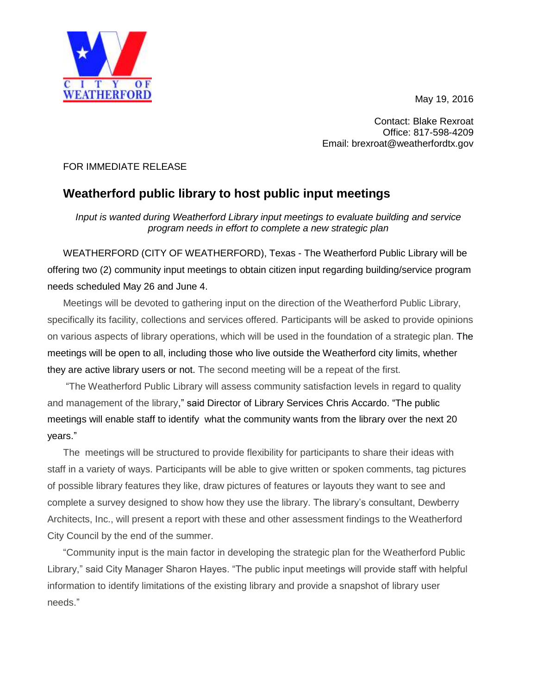May 19, 2016



Contact: Blake Rexroat Office: 817-598-4209 Email: brexroat@weatherfordtx.gov

## FOR IMMEDIATE RELEASE

## **Weatherford public library to host public input meetings**

*Input is wanted during Weatherford Library input meetings to evaluate building and service program needs in effort to complete a new strategic plan*

WEATHERFORD (CITY OF WEATHERFORD), Texas - The Weatherford Public Library will be offering two (2) community input meetings to obtain citizen input regarding building/service program needs scheduled May 26 and June 4.

Meetings will be devoted to gathering input on the direction of the Weatherford Public Library, specifically its facility, collections and services offered. Participants will be asked to provide opinions on various aspects of library operations, which will be used in the foundation of a strategic plan. The meetings will be open to all, including those who live outside the Weatherford city limits, whether they are active library users or not. The second meeting will be a repeat of the first.

"The Weatherford Public Library will assess community satisfaction levels in regard to quality and management of the library," said Director of Library Services Chris Accardo. "The public meetings will enable staff to identify what the community wants from the library over the next 20 years."

The meetings will be structured to provide flexibility for participants to share their ideas with staff in a variety of ways. Participants will be able to give written or spoken comments, tag pictures of possible library features they like, draw pictures of features or layouts they want to see and complete a survey designed to show how they use the library. The library's consultant, Dewberry Architects, Inc., will present a report with these and other assessment findings to the Weatherford City Council by the end of the summer.

"Community input is the main factor in developing the strategic plan for the Weatherford Public Library," said City Manager Sharon Hayes. "The public input meetings will provide staff with helpful information to identify limitations of the existing library and provide a snapshot of library user needs."